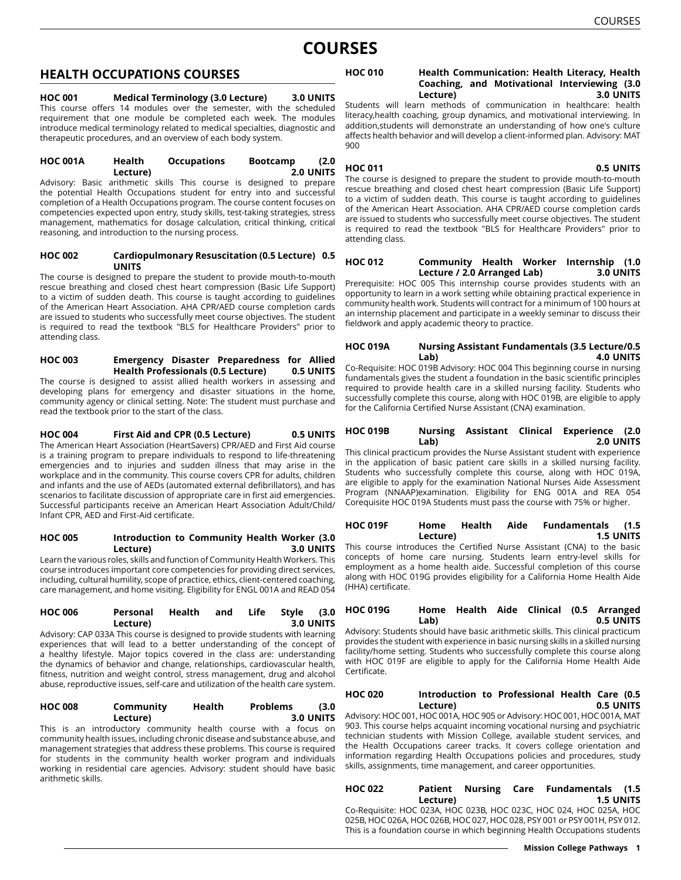# **COURSES**

# **HEALTH OCCUPATIONS COURSES**

**HOC 001 Medical Terminology (3.0 Lecture) 3.0 UNITS** This course offers 14 modules over the semester, with the scheduled requirement that one module be completed each week. The modules introduce medical terminology related to medical specialties, diagnostic and therapeutic procedures, and an overview of each body system.

#### **HOC 001A Health Occupations Bootcamp (2.0 Lecture) 2.0 UNITS**

Advisory: Basic arithmetic skills This course is designed to prepare the potential Health Occupations student for entry into and successful completion of a Health Occupations program. The course content focuses on competencies expected upon entry, study skills, test-taking strategies, stress management, mathematics for dosage calculation, critical thinking, critical reasoning, and introduction to the nursing process.

#### **HOC 002 Cardiopulmonary Resuscitation (0.5 Lecture) 0.5 UNITS**

The course is designed to prepare the student to provide mouth-to-mouth rescue breathing and closed chest heart compression (Basic Life Support) to a victim of sudden death. This course is taught according to guidelines of the American Heart Association. AHA CPR/AED course completion cards are issued to students who successfully meet course objectives. The student is required to read the textbook "BLS for Healthcare Providers" prior to attending class.

# **HOC 003 Emergency Disaster Preparedness for Allied Health Professionals (0.5 Lecture) 0.5 UNITS**

The course is designed to assist allied health workers in assessing and developing plans for emergency and disaster situations in the home, community agency or clinical setting. Note: The student must purchase and read the textbook prior to the start of the class.

**HOC 004 First Aid and CPR (0.5 Lecture) 0.5 UNITS** The American Heart Association (HeartSavers) CPR/AED and First Aid course is a training program to prepare individuals to respond to life-threatening emergencies and to injuries and sudden illness that may arise in the workplace and in the community. This course covers CPR for adults, children and infants and the use of AEDs (automated external defibrillators), and has scenarios to facilitate discussion of appropriate care in first aid emergencies. Successful participants receive an American Heart Association Adult/Child/ Infant CPR, AED and First-Aid certificate.

# **HOC 005 Introduction to Community Health Worker (3.0 Lecture) 3.0 UNITS**

Learn the various roles, skills and function of Community Health Workers. This course introduces important core competencies for providing direct services, including, cultural humility, scope of practice, ethics, client-centered coaching, care management, and home visiting. Eligibility for ENGL 001A and READ 054

# **HOC 006 Personal Health and Life Style (3.0 Lecture) 3.0 UNITS**

Advisory: CAP 033A This course is designed to provide students with learning experiences that will lead to a better understanding of the concept of a healthy lifestyle. Major topics covered in the class are: understanding the dynamics of behavior and change, relationships, cardiovascular health, fitness, nutrition and weight control, stress management, drug and alcohol abuse, reproductive issues, self-care and utilization of the health care system.

| <b>HOC 008</b> | Community | Health | <b>Problems</b> | (3.0)     |
|----------------|-----------|--------|-----------------|-----------|
|                | Lecture)  |        |                 | 3.0 UNITS |
|                |           |        |                 |           |

This is an introductory community health course with a focus on community health issues, including chronic disease and substance abuse, and management strategies that address these problems. This course is required for students in the community health worker program and individuals working in residential care agencies. Advisory: student should have basic arithmetic skills.

# **HOC 010 Health Communication: Health Literacy, Health Coaching, and Motivational Interviewing (3.0 Lecture) 3.0 UNITS**

Students will learn methods of communication in healthcare: health literacy,health coaching, group dynamics, and motivational interviewing. In addition,students will demonstrate an understanding of how one's culture affects health behavior and will develop a client-informed plan. Advisory: MAT 900

# **HOC 011 0.5 UNITS**

The course is designed to prepare the student to provide mouth-to-mouth rescue breathing and closed chest heart compression (Basic Life Support) to a victim of sudden death. This course is taught according to guidelines of the American Heart Association. AHA CPR/AED course completion cards are issued to students who successfully meet course objectives. The student is required to read the textbook "BLS for Healthcare Providers" prior to attending class.

# **HOC 012 Community Health Worker Internship (1.0 Lecture / 2.0 Arranged Lab) 3.0 UNITS**

Prerequisite: HOC 005 This internship course provides students with an opportunity to learn in a work setting while obtaining practical experience in community health work. Students will contract for a minimum of 100 hours at an internship placement and participate in a weekly seminar to discuss their fieldwork and apply academic theory to practice.

# **HOC 019A Nursing Assistant Fundamentals (3.5 Lecture/0.5 Lab) 4.0 UNITS**

Co-Requisite: HOC 019B Advisory: HOC 004 This beginning course in nursing fundamentals gives the student a foundation in the basic scientific principles required to provide health care in a skilled nursing facility. Students who successfully complete this course, along with HOC 019B, are eligible to apply for the California Certified Nurse Assistant (CNA) examination.

# **HOC 019B Nursing Assistant Clinical Experience (2.0 Lab) 2.0 UNITS**

This clinical practicum provides the Nurse Assistant student with experience in the application of basic patient care skills in a skilled nursing facility. Students who successfully complete this course, along with HOC 019A, are eligible to apply for the examination National Nurses Aide Assessment Program (NNAAP)examination. Eligibility for ENG 001A and REA 054 Corequisite HOC 019A Students must pass the course with 75% or higher.

# **HOC 019F Home Health Aide Fundamentals (1.5 Lecture) 1.5 UNITS**

This course introduces the Certified Nurse Assistant (CNA) to the basic concepts of home care nursing. Students learn entry-level skills for employment as a home health aide. Successful completion of this course along with HOC 019G provides eligibility for a California Home Health Aide (HHA) certificate.

# **HOC 019G Home Health Aide Clinical (0.5 Arranged Lab) 0.5 UNITS**

Advisory: Students should have basic arithmetic skills. This clinical practicum provides the student with experience in basic nursing skills in a skilled nursing facility/home setting. Students who successfully complete this course along with HOC 019F are eligible to apply for the California Home Health Aide Certificate.

# **HOC 020 Introduction to Professional Health Care (0.5 Lecture) 0.5 UNITS**

Advisory: HOC 001, HOC 001A, HOC 905 or Advisory: HOC 001, HOC 001A, MAT 903. This course helps acquaint incoming vocational nursing and psychiatric technician students with Mission College, available student services, and the Health Occupations career tracks. It covers college orientation and information regarding Health Occupations policies and procedures, study skills, assignments, time management, and career opportunities.

#### **HOC 022 Patient Nursing Care Fundamentals (1.5 Lecture) 1.5 UNITS** Co-Requisite: HOC 023A, HOC 023B, HOC 023C, HOC 024, HOC 025A, HOC 025B, HOC 026A, HOC 026B, HOC 027, HOC 028, PSY 001 or PSY 001H, PSY 012. This is a foundation course in which beginning Health Occupations students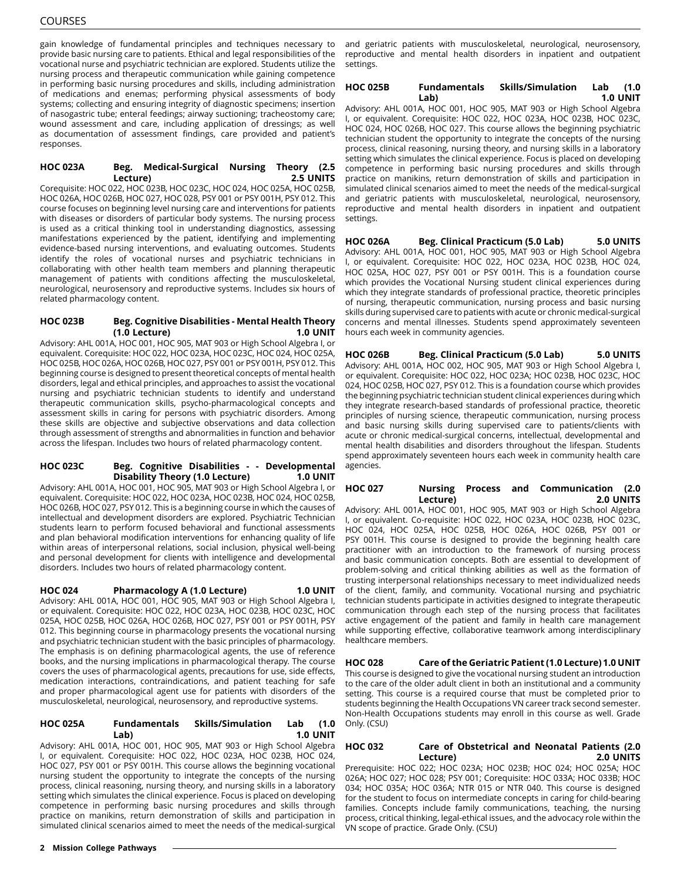gain knowledge of fundamental principles and techniques necessary to provide basic nursing care to patients. Ethical and legal responsibilities of the vocational nurse and psychiatric technician are explored. Students utilize the nursing process and therapeutic communication while gaining competence in performing basic nursing procedures and skills, including administration of medications and enemas; performing physical assessments of body systems; collecting and ensuring integrity of diagnostic specimens; insertion of nasogastric tube; enteral feedings; airway suctioning; tracheostomy care; wound assessment and care, including application of dressings; as well as documentation of assessment findings, care provided and patient's responses.

#### **HOC 023A Beg. Medical-Surgical Nursing Theory (2.5 Lecture) 2.5 UNITS**

Corequisite: HOC 022, HOC 023B, HOC 023C, HOC 024, HOC 025A, HOC 025B, HOC 026A, HOC 026B, HOC 027, HOC 028, PSY 001 or PSY 001H, PSY 012. This course focuses on beginning level nursing care and interventions for patients with diseases or disorders of particular body systems. The nursing process is used as a critical thinking tool in understanding diagnostics, assessing manifestations experienced by the patient, identifying and implementing evidence-based nursing interventions, and evaluating outcomes. Students identify the roles of vocational nurses and psychiatric technicians in collaborating with other health team members and planning therapeutic management of patients with conditions affecting the musculoskeletal, neurological, neurosensory and reproductive systems. Includes six hours of related pharmacology content.

#### **HOC 023B Beg. Cognitive Disabilities - Mental Health Theory (1.0 Lecture) 1.0 UNIT**

Advisory: AHL 001A, HOC 001, HOC 905, MAT 903 or High School Algebra I, or equivalent. Corequisite: HOC 022, HOC 023A, HOC 023C, HOC 024, HOC 025A, HOC 025B, HOC 026A, HOC 026B, HOC 027, PSY 001 or PSY 001H, PSY 012. This beginning course is designed to present theoretical concepts of mental health disorders, legal and ethical principles, and approaches to assist the vocational nursing and psychiatric technician students to identify and understand therapeutic communication skills, psycho-pharmacological concepts and assessment skills in caring for persons with psychiatric disorders. Among these skills are objective and subjective observations and data collection through assessment of strengths and abnormalities in function and behavior across the lifespan. Includes two hours of related pharmacology content.

# **HOC 023C Beg. Cognitive Disabilities - - Developmental Disability Theory (1.0 Lecture) 1.0 UNIT**

Advisory: AHL 001A, HOC 001, HOC 905, MAT 903 or High School Algebra I, or equivalent. Corequisite: HOC 022, HOC 023A, HOC 023B, HOC 024, HOC 025B, HOC 026B, HOC 027, PSY 012. This is a beginning course in which the causes of intellectual and development disorders are explored. Psychiatric Technician students learn to perform focused behavioral and functional assessments and plan behavioral modification interventions for enhancing quality of life within areas of interpersonal relations, social inclusion, physical well-being and personal development for clients with intelligence and developmental disorders. Includes two hours of related pharmacology content.

**HOC 024 Pharmacology A (1.0 Lecture) 1.0 UNIT** Advisory: AHL 001A, HOC 001, HOC 905, MAT 903 or High School Algebra I, or equivalent. Corequisite: HOC 022, HOC 023A, HOC 023B, HOC 023C, HOC 025A, HOC 025B, HOC 026A, HOC 026B, HOC 027, PSY 001 or PSY 001H, PSY 012. This beginning course in pharmacology presents the vocational nursing and psychiatric technician student with the basic principles of pharmacology. The emphasis is on defining pharmacological agents, the use of reference books, and the nursing implications in pharmacological therapy. The course covers the uses of pharmacological agents, precautions for use, side effects, medication interactions, contraindications, and patient teaching for safe and proper pharmacological agent use for patients with disorders of the musculoskeletal, neurological, neurosensory, and reproductive systems.

# **HOC 025A Fundamentals Skills/Simulation Lab (1.0 Lab) 1.0 UNIT**

Advisory: AHL 001A, HOC 001, HOC 905, MAT 903 or High School Algebra I, or equivalent. Corequisite: HOC 022, HOC 023A, HOC 023B, HOC 024, HOC 027, PSY 001 or PSY 001H. This course allows the beginning vocational nursing student the opportunity to integrate the concepts of the nursing process, clinical reasoning, nursing theory, and nursing skills in a laboratory setting which simulates the clinical experience. Focus is placed on developing competence in performing basic nursing procedures and skills through practice on manikins, return demonstration of skills and participation in simulated clinical scenarios aimed to meet the needs of the medical-surgical

and geriatric patients with musculoskeletal, neurological, neurosensory, reproductive and mental health disorders in inpatient and outpatient settings.

# **HOC 025B Fundamentals Skills/Simulation Lab (1.0 Lab) 1.0 UNIT**

Advisory: AHL 001A, HOC 001, HOC 905, MAT 903 or High School Algebra I, or equivalent. Corequisite: HOC 022, HOC 023A, HOC 023B, HOC 023C, HOC 024, HOC 026B, HOC 027. This course allows the beginning psychiatric technician student the opportunity to integrate the concepts of the nursing process, clinical reasoning, nursing theory, and nursing skills in a laboratory setting which simulates the clinical experience. Focus is placed on developing competence in performing basic nursing procedures and skills through practice on manikins, return demonstration of skills and participation in simulated clinical scenarios aimed to meet the needs of the medical-surgical and geriatric patients with musculoskeletal, neurological, neurosensory, reproductive and mental health disorders in inpatient and outpatient settings.

#### **HOC 026A Beg. Clinical Practicum (5.0 Lab) 5.0 UNITS** Advisory: AHL 001A, HOC 001, HOC 905, MAT 903 or High School Algebra I, or equivalent. Corequisite: HOC 022, HOC 023A, HOC 023B, HOC 024, HOC 025A, HOC 027, PSY 001 or PSY 001H. This is a foundation course which provides the Vocational Nursing student clinical experiences during which they integrate standards of professional practice, theoretic principles of nursing, therapeutic communication, nursing process and basic nursing skills during supervised care to patients with acute or chronic medical-surgical concerns and mental illnesses. Students spend approximately seventeen hours each week in community agencies.

**HOC 026B Beg. Clinical Practicum (5.0 Lab) 5.0 UNITS** Advisory: AHL 001A, HOC 002, HOC 905, MAT 903 or High School Algebra I, or equivalent. Corequisite: HOC 022, HOC 023A; HOC 023B, HOC 023C, HOC 024, HOC 025B, HOC 027, PSY 012. This is a foundation course which provides the beginning psychiatric technician student clinical experiences during which they integrate research-based standards of professional practice, theoretic principles of nursing science, therapeutic communication, nursing process and basic nursing skills during supervised care to patients/clients with acute or chronic medical-surgical concerns, intellectual, developmental and mental health disabilities and disorders throughout the lifespan. Students spend approximately seventeen hours each week in community health care agencies.

# **HOC 027 Nursing Process and Communication (2.0 Lecture) 2.0 UNITS**

Advisory: AHL 001A, HOC 001, HOC 905, MAT 903 or High School Algebra I, or equivalent. Co-requisite: HOC 022, HOC 023A, HOC 023B, HOC 023C, HOC 024, HOC 025A, HOC 025B, HOC 026A, HOC 026B, PSY 001 or PSY 001H. This course is designed to provide the beginning health care practitioner with an introduction to the framework of nursing process and basic communication concepts. Both are essential to development of problem-solving and critical thinking abilities as well as the formation of trusting interpersonal relationships necessary to meet individualized needs of the client, family, and community. Vocational nursing and psychiatric technician students participate in activities designed to integrate therapeutic communication through each step of the nursing process that facilitates active engagement of the patient and family in health care management while supporting effective, collaborative teamwork among interdisciplinary healthcare members.

**HOC 028 Care of the Geriatric Patient (1.0 Lecture) 1.0 UNIT** This course is designed to give the vocational nursing student an introduction to the care of the older adult client in both an institutional and a community setting. This course is a required course that must be completed prior to students beginning the Health Occupations VN career track second semester. Non-Health Occupations students may enroll in this course as well. Grade Only. (CSU)

# **HOC 032 Care of Obstetrical and Neonatal Patients (2.0 Lecture) 2.0 UNITS**

Prerequisite: HOC 022; HOC 023A; HOC 023B; HOC 024; HOC 025A; HOC 026A; HOC 027; HOC 028; PSY 001; Corequisite: HOC 033A; HOC 033B; HOC 034; HOC 035A; HOC 036A; NTR 015 or NTR 040. This course is designed for the student to focus on intermediate concepts in caring for child-bearing families. Concepts include family communications, teaching, the nursing process, critical thinking, legal-ethical issues, and the advocacy role within the VN scope of practice. Grade Only. (CSU)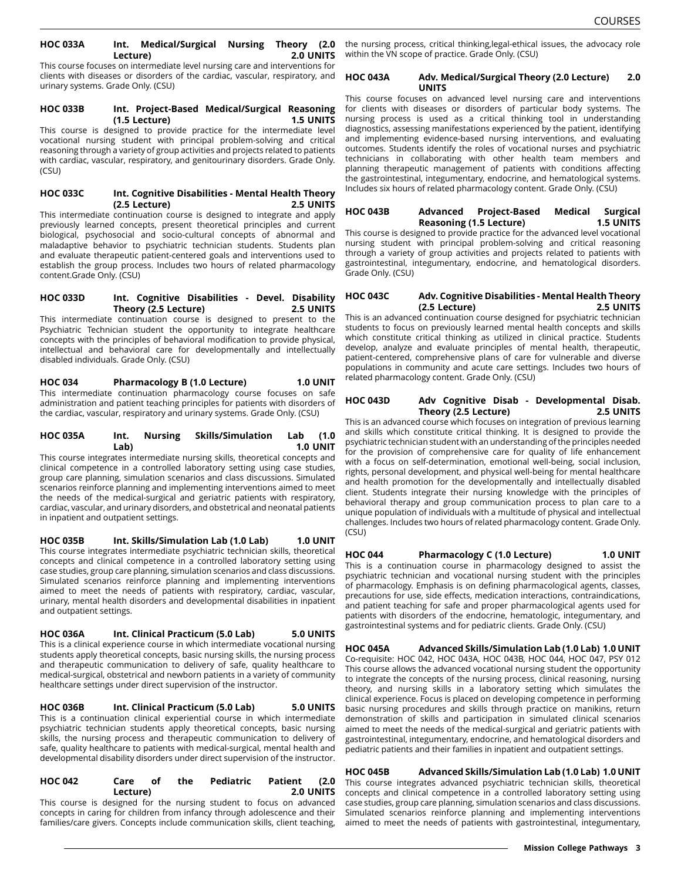#### **HOC 033A Int. Medical/Surgical Nursing Theory (2.0 Lecture) 2.0 UNITS**

This course focuses on intermediate level nursing care and interventions for clients with diseases or disorders of the cardiac, vascular, respiratory, and urinary systems. Grade Only. (CSU)

#### **HOC 033B Int. Project-Based Medical/Surgical Reasoning (1.5 Lecture) 1.5 UNITS**

This course is designed to provide practice for the intermediate level vocational nursing student with principal problem-solving and critical reasoning through a variety of group activities and projects related to patients with cardiac, vascular, respiratory, and genitourinary disorders. Grade Only. (CSU)

#### **HOC 033C Int. Cognitive Disabilities - Mental Health Theory (2.5 Lecture) 2.5 UNITS**

This intermediate continuation course is designed to integrate and apply previously learned concepts, present theoretical principles and current biological, psychosocial and socio-cultural concepts of abnormal and maladaptive behavior to psychiatric technician students. Students plan and evaluate therapeutic patient-centered goals and interventions used to establish the group process. Includes two hours of related pharmacology content.Grade Only. (CSU)

**HOC 033D Int. Cognitive Disabilities - Devel. Disability Theory (2.5 Lecture) 2.5 UNITS** This intermediate continuation course is designed to present to the Psychiatric Technician student the opportunity to integrate healthcare concepts with the principles of behavioral modification to provide physical, intellectual and behavioral care for developmentally and intellectually disabled individuals. Grade Only. (CSU)

**HOC 034 Pharmacology B (1.0 Lecture) 1.0 UNIT** This intermediate continuation pharmacology course focuses on safe administration and patient teaching principles for patients with disorders of the cardiac, vascular, respiratory and urinary systems. Grade Only. (CSU)

#### **HOC 035A Int. Nursing Skills/Simulation Lab (1.0 Lab) 1.0 UNIT**

This course integrates intermediate nursing skills, theoretical concepts and clinical competence in a controlled laboratory setting using case studies, group care planning, simulation scenarios and class discussions. Simulated scenarios reinforce planning and implementing interventions aimed to meet the needs of the medical-surgical and geriatric patients with respiratory, cardiac, vascular, and urinary disorders, and obstetrical and neonatal patients in inpatient and outpatient settings.

**HOC 035B Int. Skills/Simulation Lab (1.0 Lab) 1.0 UNIT** This course integrates intermediate psychiatric technician skills, theoretical concepts and clinical competence in a controlled laboratory setting using case studies, group care planning, simulation scenarios and class discussions. Simulated scenarios reinforce planning and implementing interventions aimed to meet the needs of patients with respiratory, cardiac, vascular, urinary, mental health disorders and developmental disabilities in inpatient and outpatient settings.

**HOC 036A Int. Clinical Practicum (5.0 Lab) 5.0 UNITS** This is a clinical experience course in which intermediate vocational nursing students apply theoretical concepts, basic nursing skills, the nursing process and therapeutic communication to delivery of safe, quality healthcare to medical-surgical, obstetrical and newborn patients in a variety of community healthcare settings under direct supervision of the instructor.

**HOC 036B Int. Clinical Practicum (5.0 Lab) 5.0 UNITS** This is a continuation clinical experiential course in which intermediate psychiatric technician students apply theoretical concepts, basic nursing skills, the nursing process and therapeutic communication to delivery of safe, quality healthcare to patients with medical-surgical, mental health and developmental disability disorders under direct supervision of the instructor.

| <b>HOC 042</b> |  | Care                                                                 | оf | the | Pediatric Patient (2.0 |  |
|----------------|--|----------------------------------------------------------------------|----|-----|------------------------|--|
| Lecture)       |  |                                                                      |    |     | <b>2.0 UNITS</b>       |  |
|                |  | This source is designed for the pursing student to fesus on advanced |    |     |                        |  |

This course is designed for the nursing student to focus on advanced concepts in caring for children from infancy through adolescence and their families/care givers. Concepts include communication skills, client teaching,

the nursing process, critical thinking,legal-ethical issues, the advocacy role within the VN scope of practice. Grade Only. (CSU)

# **HOC 043A Adv. Medical/Surgical Theory (2.0 Lecture) 2.0 UNITS**

This course focuses on advanced level nursing care and interventions for clients with diseases or disorders of particular body systems. The nursing process is used as a critical thinking tool in understanding diagnostics, assessing manifestations experienced by the patient, identifying and implementing evidence-based nursing interventions, and evaluating outcomes. Students identify the roles of vocational nurses and psychiatric technicians in collaborating with other health team members and planning therapeutic management of patients with conditions affecting the gastrointestinal, integumentary, endocrine, and hematological systems. Includes six hours of related pharmacology content. Grade Only. (CSU)

# **HOC 043B Advanced Project-Based Medical Surgical Reasoning (1.5 Lecture) 1.5 UNITS**

This course is designed to provide practice for the advanced level vocational nursing student with principal problem-solving and critical reasoning through a variety of group activities and projects related to patients with gastrointestinal, integumentary, endocrine, and hematological disorders. Grade Only. (CSU)

# **HOC 043C Adv. Cognitive Disabilities - Mental Health Theory (2.5 Lecture) 2.5 UNITS**

This is an advanced continuation course designed for psychiatric technician students to focus on previously learned mental health concepts and skills which constitute critical thinking as utilized in clinical practice. Students develop, analyze and evaluate principles of mental health, therapeutic, patient-centered, comprehensive plans of care for vulnerable and diverse populations in community and acute care settings. Includes two hours of related pharmacology content. Grade Only. (CSU)

# **HOC 043D Adv Cognitive Disab - Developmental Disab. Theory (2.5 Lecture) 2.5 UNITS**

This is an advanced course which focuses on integration of previous learning and skills which constitute critical thinking. It is designed to provide the psychiatric technician student with an understanding of the principles needed for the provision of comprehensive care for quality of life enhancement with a focus on self-determination, emotional well-being, social inclusion, rights, personal development, and physical well-being for mental healthcare and health promotion for the developmentally and intellectually disabled client. Students integrate their nursing knowledge with the principles of behavioral therapy and group communication process to plan care to a unique population of individuals with a multitude of physical and intellectual challenges. Includes two hours of related pharmacology content. Grade Only. (CSU)

# **HOC 044 Pharmacology C (1.0 Lecture) 1.0 UNIT**

This is a continuation course in pharmacology designed to assist the psychiatric technician and vocational nursing student with the principles of pharmacology. Emphasis is on defining pharmacological agents, classes, precautions for use, side effects, medication interactions, contraindications, and patient teaching for safe and proper pharmacological agents used for patients with disorders of the endocrine, hematologic, integumentary, and gastrointestinal systems and for pediatric clients. Grade Only. (CSU)

**HOC 045A Advanced Skills/Simulation Lab (1.0 Lab) 1.0 UNIT** Co-requisite: HOC 042, HOC 043A, HOC 043B, HOC 044, HOC 047, PSY 012 This course allows the advanced vocational nursing student the opportunity to integrate the concepts of the nursing process, clinical reasoning, nursing theory, and nursing skills in a laboratory setting which simulates the clinical experience. Focus is placed on developing competence in performing basic nursing procedures and skills through practice on manikins, return demonstration of skills and participation in simulated clinical scenarios aimed to meet the needs of the medical-surgical and geriatric patients with gastrointestinal, integumentary, endocrine, and hematological disorders and pediatric patients and their families in inpatient and outpatient settings.

**HOC 045B Advanced Skills/Simulation Lab (1.0 Lab) 1.0 UNIT** This course integrates advanced psychiatric technician skills, theoretical concepts and clinical competence in a controlled laboratory setting using case studies, group care planning, simulation scenarios and class discussions. Simulated scenarios reinforce planning and implementing interventions aimed to meet the needs of patients with gastrointestinal, integumentary,